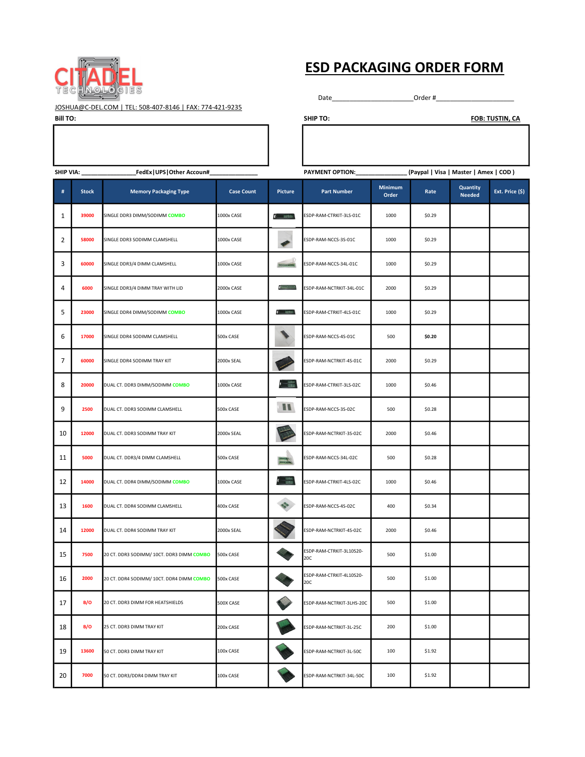

## **ESD PACKAGING ORDER FORM**

JOSHUA@C-DEL.COM | TEL: 508-407-8146 | FAX: 774-421-9235

| <b>Bill TO:</b>                                 |   |              |                              |                   |                       | <b>SHIP TO:</b>          |                         |                                        |                           | <b>FOB: TUSTIN, CA</b> |
|-------------------------------------------------|---|--------------|------------------------------|-------------------|-----------------------|--------------------------|-------------------------|----------------------------------------|---------------------------|------------------------|
|                                                 |   |              |                              |                   |                       |                          |                         |                                        |                           |                        |
|                                                 |   |              |                              |                   |                       |                          |                         |                                        |                           |                        |
|                                                 |   |              |                              |                   |                       |                          |                         |                                        |                           |                        |
| FedEx   UPS   Other Accoun#<br><b>SHIP VIA:</b> |   |              |                              |                   |                       | <b>PAYMENT OPTION:</b>   |                         | (Paypal   Visa   Master   Amex   COD ) |                           |                        |
|                                                 | # | <b>Stock</b> | <b>Memory Packaging Type</b> | <b>Case Count</b> | <b>Picture</b>        | <b>Part Number</b>       | <b>Minimum</b><br>Order | Rate                                   | Quantity<br><b>Needed</b> | Ext. Price (\$         |
|                                                 |   | 30000        |                              | $1000 \cdot 0000$ | <b>PURSE PRODUCTS</b> | FCDD DAMA CTRUIT BLC 04C | 1000                    | co po                                  |                           |                        |

Date\_\_\_\_\_\_\_\_\_\_\_\_\_\_\_\_\_\_\_\_\_\_\_\_\_\_\_\_\_\_\_\_Order #\_\_\_\_

|                | SHIP VIA: _______________<br>_FedEx UPS Other Accoun#_ |                                           |                   |                             | PAYMENT OPTION: _______________ |                         |        | [Paypal   Visa   Master   Amex   COD ) |                 |  |
|----------------|--------------------------------------------------------|-------------------------------------------|-------------------|-----------------------------|---------------------------------|-------------------------|--------|----------------------------------------|-----------------|--|
| #              | <b>Stock</b>                                           | <b>Memory Packaging Type</b>              | <b>Case Count</b> | Picture                     | <b>Part Number</b>              | <b>Minimum</b><br>Order | Rate   | <b>Quantity</b><br><b>Needed</b>       | Ext. Price (\$) |  |
| $\mathbf{1}$   | 39000                                                  | SINGLE DDR3 DIMM/SODIMM COMBO             | 1000x CASE        | $(1 - 1848)$                | ESDP-RAM-CTRKIT-3LS-01C         | 1000                    | \$0.29 |                                        |                 |  |
| 2              | 58000                                                  | SINGLE DDR3 SODIMM CLAMSHELL              | 1000x CASE        |                             | ESDP-RAM-NCCS-3S-01C            | 1000                    | \$0.29 |                                        |                 |  |
| 3              | 60000                                                  | SINGLE DDR3/4 DIMM CLAMSHELL              | 1000x CASE        | <b>BACKWOOD</b>             | ESDP-RAM-NCCS-34L-01C           | 1000                    | \$0.29 |                                        |                 |  |
| 4              | 6000                                                   | SINGLE DDR3/4 DIMM TRAY WITH LID          | 2000x CASE        | <b>Brownsman</b>            | ESDP-RAM-NCTRKIT-34L-01C        | 2000                    | \$0.29 |                                        |                 |  |
| 5              | 23000                                                  | SINGLE DDR4 DIMM/SODIMM COMBO             | 1000x CASE        | $4 - 28885$                 | ESDP-RAM-CTRKIT-4LS-01C         | 1000                    | \$0.29 |                                        |                 |  |
| 6              | 17000                                                  | SINGLE DDR4 SODIMM CLAMSHELL              | 500x CASE         |                             | ESDP-RAM-NCCS-4S-01C            | 500                     | \$0.20 |                                        |                 |  |
| $\overline{7}$ | 60000                                                  | SINGLE DDR4 SODIMM TRAY KIT               | 2000x SEAL        |                             | ESDP-RAM-NCTRKIT-4S-01C         | 2000                    | \$0.29 |                                        |                 |  |
| 8              | 20000                                                  | DUAL CT. DDR3 DIMM/SODIMM COMBO           | 1000x CASE        | $rac{1555}{1555}$           | ESDP-RAM-CTRKIT-3LS-02C         | 1000                    | \$0.46 |                                        |                 |  |
| 9              | 2500                                                   | DUAL CT. DDR3 SODIMM CLAMSHELL            | 500x CASE         |                             | ESDP-RAM-NCCS-3S-02C            | 500                     | \$0.28 |                                        |                 |  |
| 10             | 12000                                                  | DUAL CT. DDR3 SODIMM TRAY KIT             | 2000x SEAL        |                             | ESDP-RAM-NCTRKIT-3S-02C         | 2000                    | \$0.46 |                                        |                 |  |
| 11             | 5000                                                   | DUAL CT. DDR3/4 DIMM CLAMSHELL            | 500x CASE         |                             | ESDP-RAM-NCCS-34L-02C           | 500                     | \$0.28 |                                        |                 |  |
| 12             | 14000                                                  | DUAL CT. DDR4 DIMM/SODIMM COMBO           | 1000x CASE        |                             | ESDP-RAM-CTRKIT-4LS-02C         | 1000                    | \$0.46 |                                        |                 |  |
| 13             | 1600                                                   | DUAL CT. DDR4 SODIMM CLAMSHELL            | 400x CASE         | $\mathcal{L}_{\mathcal{A}}$ | ESDP-RAM-NCCS-4S-02C            | 400                     | \$0.34 |                                        |                 |  |
| 14             | 12000                                                  | DUAL CT. DDR4 SODIMM TRAY KIT             | 2000x SEAL        |                             | ESDP-RAM-NCTRKIT-4S-02C         | 2000                    | \$0.46 |                                        |                 |  |
| 15             | 7500                                                   | 20 CT. DDR3 SODIMM/ 10CT. DDR3 DIMM COMBO | 500x CASE         |                             | ESDP-RAM-CTRKIT-3L10S20-<br>20C | 500                     | \$1.00 |                                        |                 |  |
| 16             | 2000                                                   | 20 CT. DDR4 SODIMM/ 10CT. DDR4 DIMM COMBO | 500x CASE         |                             | ESDP-RAM-CTRKIT-4L10S20-<br>20C | 500                     | \$1.00 |                                        |                 |  |
| 17             | B/O                                                    | 20 CT. DDR3 DIMM FOR HEATSHIELDS          | 500X CASE         |                             | ESDP-RAM-NCTRKIT-3LHS-20C       | 500                     | \$1.00 |                                        |                 |  |
| 18             | B/O                                                    | 25 CT. DDR3 DIMM TRAY KIT                 | 200x CASE         |                             | ESDP-RAM-NCTRKIT-3L-25C         | 200                     | \$1.00 |                                        |                 |  |
| 19             | 13600                                                  | 50 CT. DDR3 DIMM TRAY KIT                 | 100x CASE         |                             | ESDP-RAM-NCTRKIT-3L-50C         | 100                     | \$1.92 |                                        |                 |  |
| 20             | 7000                                                   | 50 CT. DDR3/DDR4 DIMM TRAY KIT            | 100x CASE         |                             | ESDP-RAM-NCTRKIT-34L-50C        | 100                     | \$1.92 |                                        |                 |  |